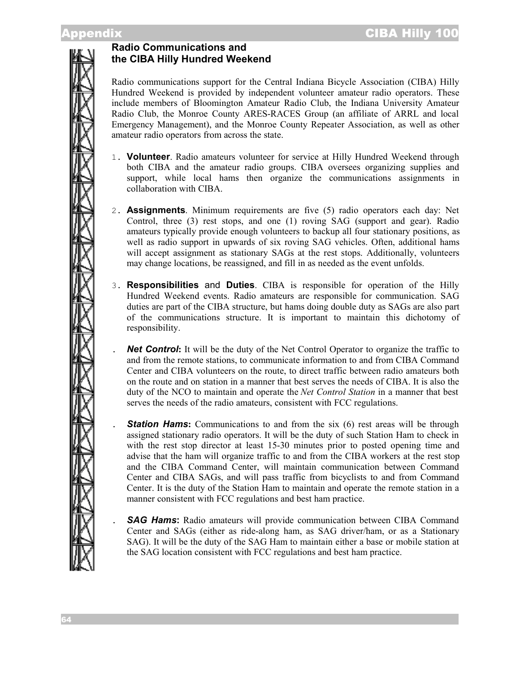# **Radio Communications and the CIBA Hilly Hundred Weekend**

Radio communications support for the Central Indiana Bicycle Association (CIBA) Hilly Hundred Weekend is provided by independent volunteer amateur radio operators. These include members of Bloomington Amateur Radio Club, the Indiana University Amateur Radio Club, the Monroe County ARES-RACES Group (an affiliate of ARRL and local Emergency Management), and the Monroe County Repeater Association, as well as other amateur radio operators from across the state.

- 1. **Volunteer**. Radio amateurs volunteer for service at Hilly Hundred Weekend through both CIBA and the amateur radio groups. CIBA oversees organizing supplies and support, while local hams then organize the communications assignments in collaboration with CIBA.
- 2. **Assignments**. Minimum requirements are five (5) radio operators each day: Net Control, three (3) rest stops, and one (1) roving SAG (support and gear). Radio amateurs typically provide enough volunteers to backup all four stationary positions, as well as radio support in upwards of six roving SAG vehicles. Often, additional hams will accept assignment as stationary SAGs at the rest stops. Additionally, volunteers may change locations, be reassigned, and fill in as needed as the event unfolds.
- 3. **Responsibilities** and **Duties**. CIBA is responsible for operation of the Hilly Hundred Weekend events. Radio amateurs are responsible for communication. SAG duties are part of the CIBA structure, but hams doing double duty as SAGs are also part of the communications structure. It is important to maintain this dichotomy of responsibility.
	- **Net Control:** It will be the duty of the Net Control Operator to organize the traffic to and from the remote stations, to communicate information to and from CIBA Command Center and CIBA volunteers on the route, to direct traffic between radio amateurs both on the route and on station in a manner that best serves the needs of CIBA. It is also the duty of the NCO to maintain and operate the *Net Control Station* in a manner that best serves the needs of the radio amateurs, consistent with FCC regulations.
- **Station Hams:** Communications to and from the six (6) rest areas will be through assigned stationary radio operators. It will be the duty of such Station Ham to check in with the rest stop director at least 15-30 minutes prior to posted opening time and advise that the ham will organize traffic to and from the CIBA workers at the rest stop and the CIBA Command Center, will maintain communication between Command Center and CIBA SAGs, and will pass traffic from bicyclists to and from Command Center. It is the duty of the Station Ham to maintain and operate the remote station in a manner consistent with FCC regulations and best ham practice.
	- . *SAG Hams***:** Radio amateurs will provide communication between CIBA Command Center and SAGs (either as ride-along ham, as SAG driver/ham, or as a Stationary SAG). It will be the duty of the SAG Ham to maintain either a base or mobile station at the SAG location consistent with FCC regulations and best ham practice.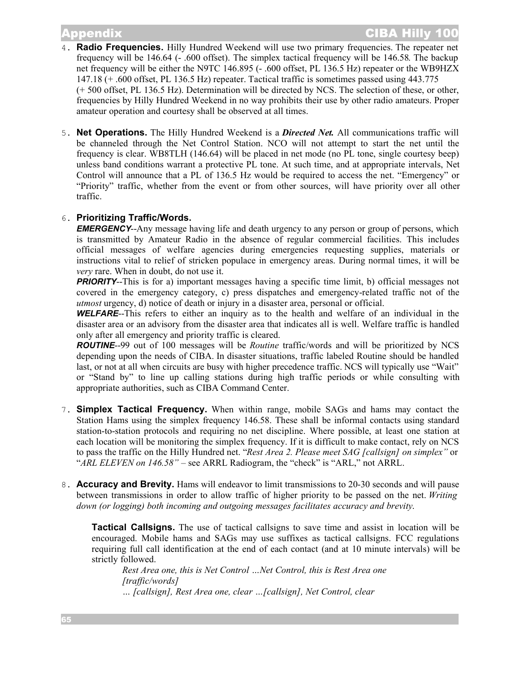- 4. **Radio Frequencies.** Hilly Hundred Weekend will use two primary frequencies. The repeater net frequency will be 146.64 (- .600 offset). The simplex tactical frequency will be 146.58. The backup net frequency will be either the N9TC 146.895 (- .600 offset, PL 136.5 Hz) repeater or the WB9HZX 147.18 (+ .600 offset, PL 136.5 Hz) repeater. Tactical traffic is sometimes passed using 443.775 (+ 500 offset, PL 136.5 Hz). Determination will be directed by NCS. The selection of these, or other, frequencies by Hilly Hundred Weekend in no way prohibits their use by other radio amateurs. Proper amateur operation and courtesy shall be observed at all times.
- 5. **Net Operations.** The Hilly Hundred Weekend is a *Directed Net.* All communications traffic will be channeled through the Net Control Station. NCO will not attempt to start the net until the frequency is clear. WB8TLH (146.64) will be placed in net mode (no PL tone, single courtesy beep) unless band conditions warrant a protective PL tone. At such time, and at appropriate intervals, Net Control will announce that a PL of 136.5 Hz would be required to access the net. "Emergency" or "Priority" traffic, whether from the event or from other sources, will have priority over all other traffic.

## 6. **Prioritizing Traffic/Words.**

*EMERGENCY*--Any message having life and death urgency to any person or group of persons, which is transmitted by Amateur Radio in the absence of regular commercial facilities. This includes official messages of welfare agencies during emergencies requesting supplies, materials or instructions vital to relief of stricken populace in emergency areas. During normal times, it will be *very* rare. When in doubt, do not use it.

**PRIORITY**--This is for a) important messages having a specific time limit, b) official messages not covered in the emergency category, c) press dispatches and emergency-related traffic not of the *utmost* urgency, d) notice of death or injury in a disaster area, personal or official.

*WELFARE*--This refers to either an inquiry as to the health and welfare of an individual in the disaster area or an advisory from the disaster area that indicates all is well. Welfare traffic is handled only after all emergency and priority traffic is cleared.

*ROUTINE*--99 out of 100 messages will be *Routine* traffic/words and will be prioritized by NCS depending upon the needs of CIBA. In disaster situations, traffic labeled Routine should be handled last, or not at all when circuits are busy with higher precedence traffic. NCS will typically use "Wait" or "Stand by" to line up calling stations during high traffic periods or while consulting with appropriate authorities, such as CIBA Command Center.

- 7. **Simplex Tactical Frequency.** When within range, mobile SAGs and hams may contact the Station Hams using the simplex frequency 146.58. These shall be informal contacts using standard station-to-station protocols and requiring no net discipline. Where possible, at least one station at each location will be monitoring the simplex frequency. If it is difficult to make contact, rely on NCS to pass the traffic on the Hilly Hundred net. "*Rest Area 2. Please meet SAG [callsign] on simplex"* or "*ARL ELEVEN on 146.58"* – see ARRL Radiogram, the "check" is "ARL," not ARRL.
- 8. **Accuracy and Brevity.** Hams will endeavor to limit transmissions to 20-30 seconds and will pause between transmissions in order to allow traffic of higher priority to be passed on the net. *Writing down (or logging) both incoming and outgoing messages facilitates accuracy and brevity*.

**Tactical Callsigns.** The use of tactical callsigns to save time and assist in location will be encouraged. Mobile hams and SAGs may use suffixes as tactical callsigns. FCC regulations requiring full call identification at the end of each contact (and at 10 minute intervals) will be strictly followed.

*Rest Area one, this is Net Control …Net Control, this is Rest Area one [traffic/words] … [callsign], Rest Area one, clear …[callsign], Net Control, clear*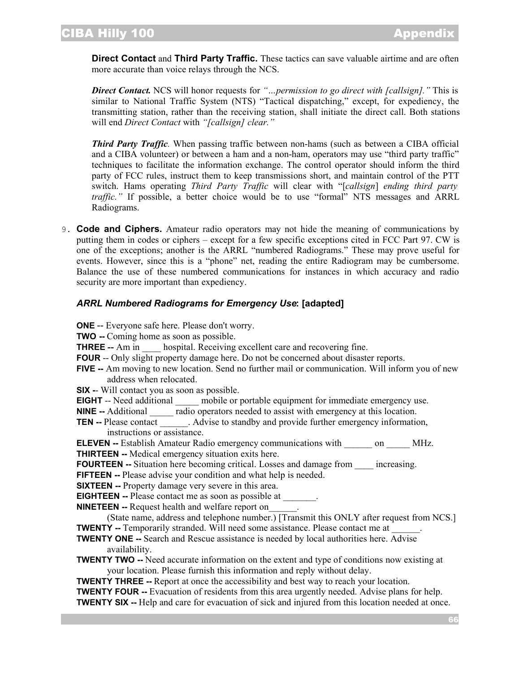**Direct Contact** and **Third Party Traffic.** These tactics can save valuable airtime and are often more accurate than voice relays through the NCS.

*Direct Contact.* NCS will honor requests for *"…permission to go direct with [callsign]."* This is similar to National Traffic System (NTS) "Tactical dispatching," except, for expediency, the transmitting station, rather than the receiving station, shall initiate the direct call. Both stations will end *Direct Contact* with *"[callsign] clear."*

*Third Party Traffic.* When passing traffic between non-hams (such as between a CIBA official and a CIBA volunteer) or between a ham and a non-ham, operators may use "third party traffic" techniques to facilitate the information exchange. The control operator should inform the third party of FCC rules, instruct them to keep transmissions short, and maintain control of the PTT switch. Hams operating *Third Party Traffic* will clear with "[*callsign*] *ending third party traffic.*" If possible, a better choice would be to use "formal" NTS messages and ARRL Radiograms.

9. **Code and Ciphers.** Amateur radio operators may not hide the meaning of communications by putting them in codes or ciphers – except for a few specific exceptions cited in FCC Part 97. CW is one of the exceptions; another is the ARRL "numbered Radiograms." These may prove useful for events. However, since this is a "phone" net, reading the entire Radiogram may be cumbersome. Balance the use of these numbered communications for instances in which accuracy and radio security are more important than expediency.

## *ARRL Numbered Radiograms for Emergency Use***: [adapted]**

- **ONE** -- Everyone safe here. Please don't worry.
- **TWO --** Coming home as soon as possible.
- **THREE** -- Am in hospital. Receiving excellent care and recovering fine.
- **FOUR** -- Only slight property damage here. Do not be concerned about disaster reports.
- **FIVE --** Am moving to new location. Send no further mail or communication. Will inform you of new address when relocated.
- **SIX -** Will contact you as soon as possible.
- **EIGHT** -- Need additional and mobile or portable equipment for immediate emergency use.

**NINE --** Additional radio operators needed to assist with emergency at this location.

**TEN** -- Please contact . Advise to standby and provide further emergency information, instructions or assistance.

**ELEVEN** -- Establish Amateur Radio emergency communications with on MHz. **THIRTEEN --** Medical emergency situation exits here.

**FOURTEEN** -- Situation here becoming critical. Losses and damage from increasing.

- **FIFTEEN** -- Please advise your condition and what help is needed.
- **SIXTEEN** -- Property damage very severe in this area.

**EIGHTEEN** -- Please contact me as soon as possible at

**NINETEEN --** Request health and welfare report on\_\_\_\_\_\_.

(State name, address and telephone number.) [Transmit this ONLY after request from NCS.] **TWENTY** -- Temporarily stranded. Will need some assistance. Please contact me at

- **TWENTY ONE --** Search and Rescue assistance is needed by local authorities here. Advise availability.
- **TWENTY TWO** -- Need accurate information on the extent and type of conditions now existing at your location. Please furnish this information and reply without delay.

**TWENTY THREE** -- Report at once the accessibility and best way to reach your location.

**TWENTY FOUR --** Evacuation of residents from this area urgently needed. Advise plans for help. **TWENTY SIX --** Help and care for evacuation of sick and injured from this location needed at once.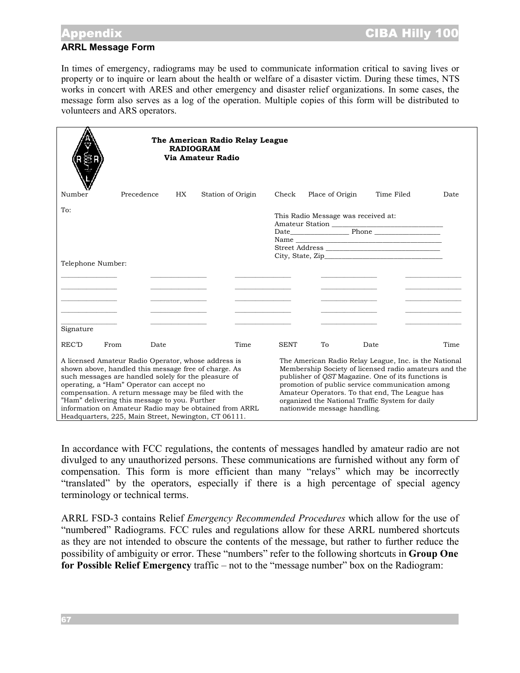## Appendix CIBA Hilly 100

### **ARRL Message Form**

In times of emergency, radiograms may be used to communicate information critical to saving lives or property or to inquire or learn about the health or welfare of a disaster victim. During these times, NTS works in concert with ARES and other emergency and disaster relief organizations. In some cases, the message form also serves as a log of the operation. Multiple copies of this form will be distributed to volunteers and ARS operators.

|                                                                                                                                                                                                                                                                                                                                                                                                                                             | The American Radio Relay League<br><b>RADIOGRAM</b><br>Via Amateur Radio |                                              |                                              |                                                                                                                                                                                                                                                                                                                                                                     |                                                                                           |            |                                         |
|---------------------------------------------------------------------------------------------------------------------------------------------------------------------------------------------------------------------------------------------------------------------------------------------------------------------------------------------------------------------------------------------------------------------------------------------|--------------------------------------------------------------------------|----------------------------------------------|----------------------------------------------|---------------------------------------------------------------------------------------------------------------------------------------------------------------------------------------------------------------------------------------------------------------------------------------------------------------------------------------------------------------------|-------------------------------------------------------------------------------------------|------------|-----------------------------------------|
| Number                                                                                                                                                                                                                                                                                                                                                                                                                                      | Precedence                                                               | HX.                                          | Station of Origin                            | Check                                                                                                                                                                                                                                                                                                                                                               | Place of Origin                                                                           | Time Filed | Date                                    |
| To:                                                                                                                                                                                                                                                                                                                                                                                                                                         |                                                                          |                                              |                                              | This Radio Message was received at:<br>Amateur Station<br>City, State, Zip                                                                                                                                                                                                                                                                                          |                                                                                           |            |                                         |
| Telephone Number:                                                                                                                                                                                                                                                                                                                                                                                                                           |                                                                          |                                              |                                              |                                                                                                                                                                                                                                                                                                                                                                     |                                                                                           |            |                                         |
| the control of the control of the control of                                                                                                                                                                                                                                                                                                                                                                                                |                                                                          | the control of the control of the control of | the control of the control of the control of |                                                                                                                                                                                                                                                                                                                                                                     | the control of the control of the control<br>the control of the control of the control of |            | <u> 1980 - Johann Barbara, martin a</u> |
| Signature                                                                                                                                                                                                                                                                                                                                                                                                                                   |                                                                          |                                              |                                              |                                                                                                                                                                                                                                                                                                                                                                     |                                                                                           |            |                                         |
| REC'D                                                                                                                                                                                                                                                                                                                                                                                                                                       | From<br>Date                                                             |                                              | Time                                         | <b>SENT</b>                                                                                                                                                                                                                                                                                                                                                         | To                                                                                        | Date       | Time                                    |
| A licensed Amateur Radio Operator, whose address is<br>shown above, handled this message free of charge. As<br>such messages are handled solely for the pleasure of<br>operating, a "Ham" Operator can accept no<br>compensation. A return message may be filed with the<br>"Ham" delivering this message to you. Further<br>information on Amateur Radio may be obtained from ARRL<br>Headquarters, 225, Main Street, Newington, CT 06111. |                                                                          |                                              |                                              | The American Radio Relay League, Inc. is the National<br>Membership Society of licensed radio amateurs and the<br>publisher of <i>QST</i> Magazine. One of its functions is<br>promotion of public service communication among<br>Amateur Operators. To that end, The League has<br>organized the National Traffic System for daily<br>nationwide message handling. |                                                                                           |            |                                         |

In accordance with FCC regulations, the contents of messages handled by amateur radio are not divulged to any unauthorized persons. These communications are furnished without any form of compensation. This form is more efficient than many "relays" which may be incorrectly "translated" by the operators, especially if there is a high percentage of special agency terminology or technical terms.

ARRL FSD-3 contains Relief *Emergency Recommended Procedures* which allow for the use of "numbered" Radiograms. FCC rules and regulations allow for these ARRL numbered shortcuts as they are not intended to obscure the contents of the message, but rather to further reduce the possibility of ambiguity or error. These "numbers" refer to the following shortcuts in **Group One for Possible Relief Emergency** traffic – not to the "message number" box on the Radiogram: